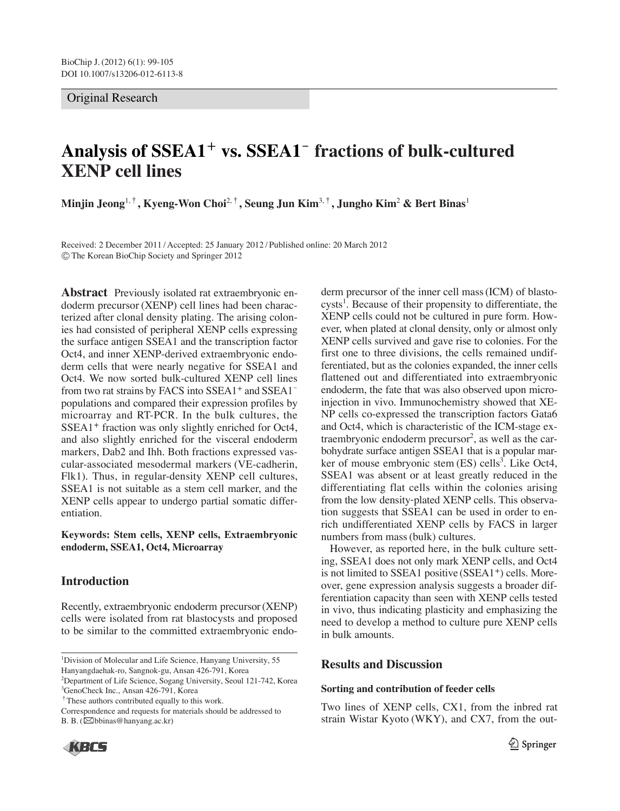## Original Research

# **Analysis of SSEA1**<sup>+</sup> **vs. SSEA1**- **fractions of bulk-cultured XENP cell lines**

**Minjin Jeong**1,†**, Kyeng-Won Choi**2,†**, Seung Jun Kim**3,†**, Jungho Kim**<sup>2</sup> **& Bert Binas**<sup>1</sup>

Received: 2 December 2011 / Accepted: 25 January 2012 / Published online: 20 March 2012 �The Korean BioChip Society and Springer 2012

**Abstract** Previously isolated rat extraembryonic endoderm precursor (XENP) cell lines had been characterized after clonal density plating. The arising colonies had consisted of peripheral XENP cells expressing the surface antigen SSEA1 and the transcription factor Oct4, and inner XENP-derived extraembryonic endoderm cells that were nearly negative for SSEA1 and Oct4. We now sorted bulk-cultured XENP cell lines from two rat strains by FACS into SSEA1<sup>+</sup> and SSEA1<sup>-</sup> populations and compared their expression profiles by microarray and RT-PCR. In the bulk cultures, the SSEA1<sup>+</sup> fraction was only slightly enriched for Oct4, and also slightly enriched for the visceral endoderm markers, Dab2 and Ihh. Both fractions expressed vascular-associated mesodermal markers (VE-cadherin, Flk1). Thus, in regular-density XENP cell cultures, SSEA1 is not suitable as a stem cell marker, and the XENP cells appear to undergo partial somatic differentiation.

## **Keywords: Stem cells, XENP cells, Extraembryonic endoderm, SSEA1, Oct4, Microarray**

## **Introduction**

Recently, extraembryonic endoderm precursor (XENP) cells were isolated from rat blastocysts and proposed to be similar to the committed extraembryonic endo-

†These authors contributed equally to this work.

Correspondence and requests for materials should be addressed to B. B.  $(\boxtimes \text{bbinas@hang.ac.kr})$ 



derm precursor of the inner cell mass (ICM) of blastocysts<sup>1</sup>. Because of their propensity to differentiate, the XENP cells could not be cultured in pure form. However, when plated at clonal density, only or almost only XENP cells survived and gave rise to colonies. For the first one to three divisions, the cells remained undifferentiated, but as the colonies expanded, the inner cells flattened out and differentiated into extraembryonic endoderm, the fate that was also observed upon microinjection in vivo. Immunochemistry showed that XE-NP cells co-expressed the transcription factors Gata6 and Oct4, which is characteristic of the ICM-stage extraembryonic endoderm precursor<sup>2</sup>, as well as the carbohydrate surface antigen SSEA1 that is a popular marker of mouse embryonic stem (ES) cells<sup>3</sup>. Like Oct4, SSEA1 was absent or at least greatly reduced in the differentiating flat cells within the colonies arising from the low density-plated XENP cells. This observation suggests that SSEA1 can be used in order to enrich undifferentiated XENP cells by FACS in larger numbers from mass (bulk) cultures.

However, as reported here, in the bulk culture setting, SSEA1 does not only mark XENP cells, and Oct4 is not limited to SSEA1 positive (SSEA1<sup>+</sup>) cells. Moreover, gene expression analysis suggests a broader differentiation capacity than seen with XENP cells tested in vivo, thus indicating plasticity and emphasizing the need to develop a method to culture pure XENP cells in bulk amounts.

# **Results and Discussion**

### **Sorting and contribution of feeder cells**

Two lines of XENP cells, CX1, from the inbred rat strain Wistar Kyoto (WKY), and CX7, from the out-

<sup>&</sup>lt;sup>1</sup>Division of Molecular and Life Science, Hanyang University, 55 Hanyangdaehak-ro, Sangnok-gu, Ansan 426-791, Korea

<sup>&</sup>lt;sup>2</sup>Department of Life Science, Sogang University, Seoul 121-742, Korea 3 GenoCheck Inc., Ansan 426-791, Korea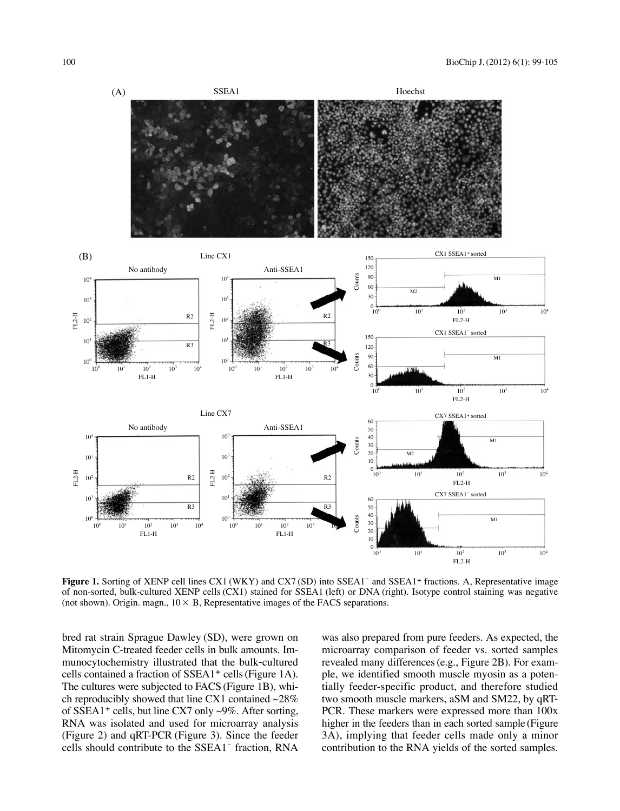

**Figure 1.** Sorting of XENP cell lines CX1 (WKY) and CX7 (SD) into SSEA1<sup>-</sup> and SSEA1<sup>+</sup> fractions. A, Representative image of non-sorted, bulk-cultured XENP cells (CX1) stained for SSEA1 (left) or DNA (right). Isotype control staining was negative (not shown). Origin. magn.,  $10 \times B$ , Representative images of the FACS separations.

bred rat strain Sprague Dawley (SD), were grown on Mitomycin C-treated feeder cells in bulk amounts. Immunocytochemistry illustrated that the bulk-cultured cells contained a fraction of SSEA1<sup>+</sup> cells (Figure 1A). The cultures were subjected to FACS (Figure 1B), which reproducibly showed that line CX1 contained  $\sim$ 28% of SSEA1<sup>+</sup> cells, but line CX7 only  $\sim$ 9%. After sorting, RNA was isolated and used for microarray analysis (Figure 2) and qRT-PCR (Figure 3). Since the feeder cells should contribute to the SSEA1<sup>-</sup> fraction, RNA was also prepared from pure feeders. As expected, the microarray comparison of feeder vs. sorted samples revealed many differences (e.g., Figure 2B). For example, we identified smooth muscle myosin as a potentially feeder-specific product, and therefore studied two smooth muscle markers, aSM and SM22, by qRT-PCR. These markers were expressed more than 100x higher in the feeders than in each sorted sample (Figure 3A), implying that feeder cells made only a minor contribution to the RNA yields of the sorted samples.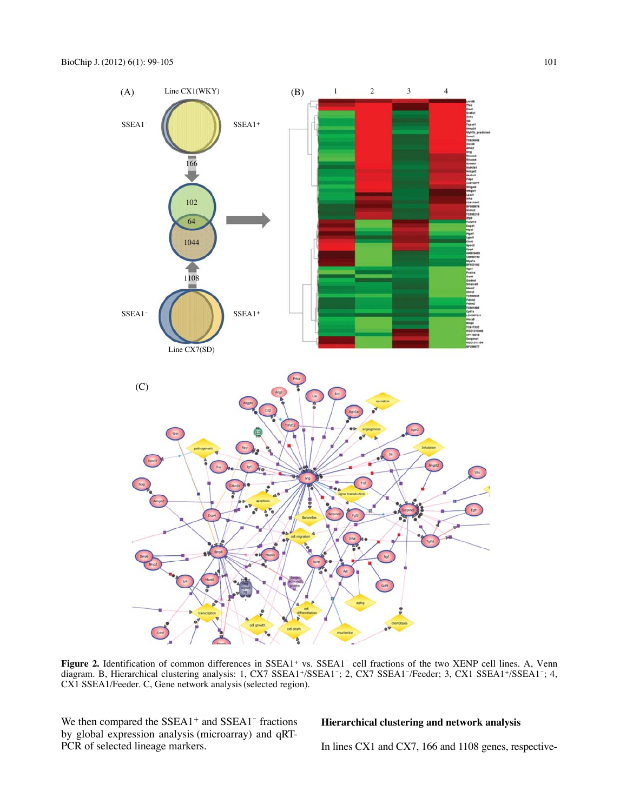

Figure 2. Identification of common differences in SSEA1<sup>+</sup> vs. SSEA1<sup>-</sup> cell fractions of the two XENP cell lines. A, Venn diagram. B, Hierarchical clustering analysis: 1, CX7 SSEA1+/SSEA1<sup>-</sup>; 2, CX7 SSEA1<sup>-</sup>/Feeder; 3, CX1 SSEA1+/SSEA1<sup>-</sup>; 4, CX1 SSEA1/Feeder. C, Gene network analysis (selected region).

We then compared the  $SSEA1<sup>+</sup>$  and  $SSEA1<sup>-</sup>$  fractions by global expression analysis (microarray) and qRT-PCR of selected lineage markers.

## **Hierarchical clustering and network analysis**

In lines CX1 and CX7, 166 and 1108 genes, respective-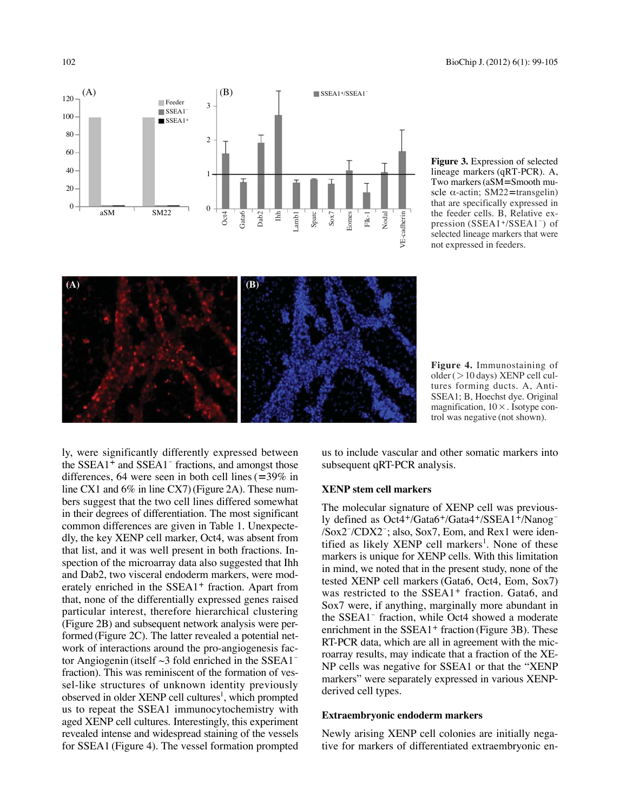

**Figure 3.** Expression of selected lineage markers (qRT-PCR). A, Two markers (aSM=Smooth muscle  $\alpha$ -actin; SM22=transgelin) that are specifically expressed in the feeder cells. B, Relative expression (SSEA1+/SSEA1<sup>-</sup>) of selected lineage markers that were not expressed in feeders.



**Figure 4.** Immunostaining of older ( $>$ 10 days) XENP cell cultures forming ducts. A, Anti-SSEA1; B, Hoechst dye. Original magnification,  $10 \times$ . Isotype control was negative (not shown).

ly, were significantly differently expressed between the  $SSEA1<sup>+</sup>$  and  $SSEA1<sup>-</sup>$  fractions, and amongst those differences, 64 were seen in both cell lines (=39% in line CX1 and 6% in line CX7) (Figure 2A). These numbers suggest that the two cell lines differed somewhat in their degrees of differentiation. The most significant common differences are given in Table 1. Unexpectedly, the key XENP cell marker, Oct4, was absent from that list, and it was well present in both fractions. Inspection of the microarray data also suggested that Ihh and Dab2, two visceral endoderm markers, were moderately enriched in the SSEA1<sup>+</sup> fraction. Apart from that, none of the differentially expressed genes raised particular interest, therefore hierarchical clustering (Figure 2B) and subsequent network analysis were performed (Figure 2C). The latter revealed a potential network of interactions around the pro-angiogenesis factor Angiogenin (itself  $\sim$ 3 fold enriched in the SSEA1<sup>-</sup> fraction). This was reminiscent of the formation of vessel-like structures of unknown identity previously observed in older XENP cell cultures<sup>1</sup>, which prompted us to repeat the SSEA1 immunocytochemistry with aged XENP cell cultures. Interestingly, this experiment revealed intense and widespread staining of the vessels for SSEA1 (Figure 4). The vessel formation prompted us to include vascular and other somatic markers into subsequent qRT-PCR analysis.

#### **XENP stem cell markers**

The molecular signature of XENP cell was previously defined as Oct4+/Gata6+/Gata4+/SSEA1+/Nanog<sup>-1</sup> /Sox2- /CDX2- ; also, Sox7, Eom, and Rex1 were identified as likely XENP cell markers<sup>1</sup>. None of these markers is unique for XENP cells. With this limitation in mind, we noted that in the present study, none of the tested XENP cell markers (Gata6, Oct4, Eom, Sox7) was restricted to the SSEA1<sup>+</sup> fraction. Gata6, and Sox7 were, if anything, marginally more abundant in the SSEA1<sup>-</sup> fraction, while Oct4 showed a moderate enrichment in the SSEA1<sup>+</sup> fraction (Figure 3B). These RT-PCR data, which are all in agreement with the microarray results, may indicate that a fraction of the XE-NP cells was negative for SSEA1 or that the "XENP markers" were separately expressed in various XENPderived cell types.

#### **Extraembryonic endoderm markers**

Newly arising XENP cell colonies are initially negative for markers of differentiated extraembryonic en-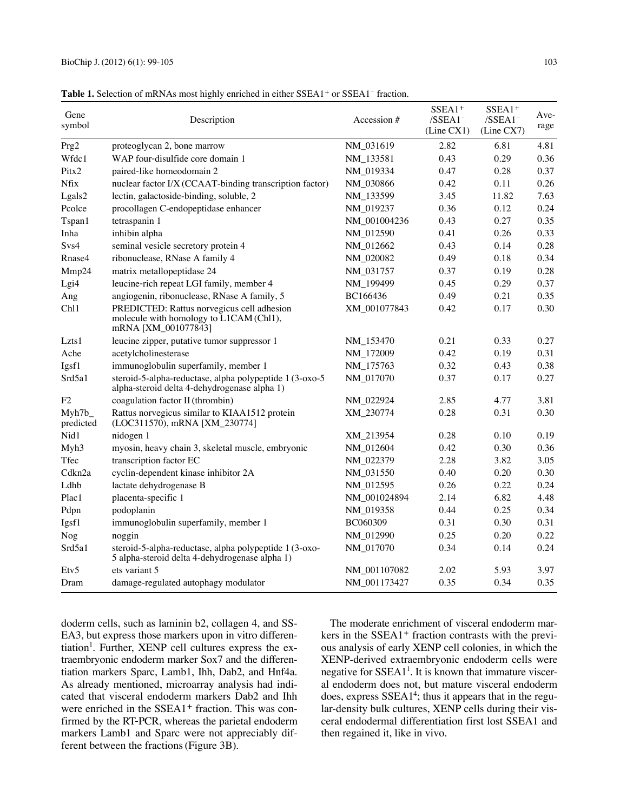| Gene<br>symbol     | Description                                                                                                  | Accession #  | SSEA1 <sup>+</sup><br>$/SSEA1^-$<br>(Line CX1) | $SSEA1+$<br>/SSEA1<br>(Line CX7) | Ave-<br>rage |
|--------------------|--------------------------------------------------------------------------------------------------------------|--------------|------------------------------------------------|----------------------------------|--------------|
| Prg2               | proteoglycan 2, bone marrow                                                                                  | NM_031619    | 2.82                                           | 6.81                             | 4.81         |
| Wfdc1              | WAP four-disulfide core domain 1                                                                             | NM_133581    | 0.43                                           | 0.29                             | 0.36         |
| Pitx2              | paired-like homeodomain 2                                                                                    | NM_019334    | 0.47                                           | 0.28                             | 0.37         |
| <b>Nfix</b>        | nuclear factor I/X (CCAAT-binding transcription factor)                                                      | NM_030866    | 0.42                                           | 0.11                             | 0.26         |
| Lgals2             | lectin, galactoside-binding, soluble, 2                                                                      | NM_133599    | 3.45                                           | 11.82                            | 7.63         |
| Pcolce             | procollagen C-endopeptidase enhancer                                                                         | NM_019237    | 0.36                                           | 0.12                             | 0.24         |
| Tspan1             | tetraspanin 1                                                                                                | NM_001004236 | 0.43                                           | 0.27                             | 0.35         |
| Inha               | inhibin alpha                                                                                                | NM_012590    | 0.41                                           | 0.26                             | 0.33         |
| Svs4               | seminal vesicle secretory protein 4                                                                          | NM_012662    | 0.43                                           | 0.14                             | 0.28         |
| Rnase4             | ribonuclease, RNase A family 4                                                                               | NM_020082    | 0.49                                           | 0.18                             | 0.34         |
| Mmp24              | matrix metallopeptidase 24                                                                                   | NM_031757    | 0.37                                           | 0.19                             | 0.28         |
| Lgi4               | leucine-rich repeat LGI family, member 4                                                                     | NM_199499    | 0.45                                           | 0.29                             | 0.37         |
| Ang                | angiogenin, ribonuclease, RNase A family, 5                                                                  | BC166436     | 0.49                                           | 0.21                             | 0.35         |
| Ch11               | PREDICTED: Rattus norvegicus cell adhesion<br>molecule with homology to L1CAM (Ch11),<br>mRNA [XM 001077843] | XM 001077843 | 0.42                                           | 0.17                             | 0.30         |
| Lzts1              | leucine zipper, putative tumor suppressor 1                                                                  | NM_153470    | 0.21                                           | 0.33                             | 0.27         |
| Ache               | acetylcholinesterase                                                                                         | NM_172009    | 0.42                                           | 0.19                             | 0.31         |
| Igsf1              | immunoglobulin superfamily, member 1                                                                         | NM_175763    | 0.32                                           | 0.43                             | 0.38         |
| Srd5a1             | steroid-5-alpha-reductase, alpha polypeptide 1 (3-oxo-5<br>alpha-steroid delta 4-dehydrogenase alpha 1)      | NM_017070    | 0.37                                           | 0.17                             | 0.27         |
| F <sub>2</sub>     | coagulation factor II (thrombin)                                                                             | NM_022924    | 2.85                                           | 4.77                             | 3.81         |
| Myh7b<br>predicted | Rattus norvegicus similar to KIAA1512 protein<br>(LOC311570), mRNA [XM_230774]                               | XM 230774    | 0.28                                           | 0.31                             | 0.30         |
| Nid1               | nidogen 1                                                                                                    | XM_213954    | 0.28                                           | 0.10                             | 0.19         |
| Myh3               | myosin, heavy chain 3, skeletal muscle, embryonic                                                            | NM_012604    | 0.42                                           | 0.30                             | 0.36         |
| Tfec               | transcription factor EC                                                                                      | NM_022379    | 2.28                                           | 3.82                             | 3.05         |
| Cdkn2a             | cyclin-dependent kinase inhibitor 2A                                                                         | NM_031550    | 0.40                                           | 0.20                             | 0.30         |
| Ldhb               | lactate dehydrogenase B                                                                                      | NM_012595    | 0.26                                           | 0.22                             | 0.24         |
| Plac1              | placenta-specific 1                                                                                          | NM_001024894 | 2.14                                           | 6.82                             | 4.48         |
| Pdpn               | podoplanin                                                                                                   | NM_019358    | 0.44                                           | 0.25                             | 0.34         |
| Igsf1              | immunoglobulin superfamily, member 1                                                                         | BC060309     | 0.31                                           | 0.30                             | 0.31         |
| Nog                | noggin                                                                                                       | NM_012990    | 0.25                                           | 0.20                             | 0.22         |
| Srd5a1             | steroid-5-alpha-reductase, alpha polypeptide 1 (3-oxo-<br>5 alpha-steroid delta 4-dehydrogenase alpha 1)     | NM_017070    | 0.34                                           | 0.14                             | 0.24         |
| Etv <sub>5</sub>   | ets variant 5                                                                                                | NM_001107082 | 2.02                                           | 5.93                             | 3.97         |
| Dram               | damage-regulated autophagy modulator                                                                         | NM_001173427 | 0.35                                           | 0.34                             | 0.35         |

Table 1. Selection of mRNAs most highly enriched in either SSEA1<sup>+</sup> or SSEA1<sup>-</sup> fraction.

doderm cells, such as laminin b2, collagen 4, and SS-EA3, but express those markers upon in vitro differentiation<sup>1</sup>. Further, XENP cell cultures express the extraembryonic endoderm marker Sox7 and the differentiation markers Sparc, Lamb1, Ihh, Dab2, and Hnf4a. As already mentioned, microarray analysis had indicated that visceral endoderm markers Dab2 and Ihh were enriched in the SSEA1<sup>+</sup> fraction. This was confirmed by the RT-PCR, whereas the parietal endoderm markers Lamb1 and Sparc were not appreciably different between the fractions (Figure 3B).

The moderate enrichment of visceral endoderm markers in the SSEA1<sup>+</sup> fraction contrasts with the previous analysis of early XENP cell colonies, in which the XENP-derived extraembryonic endoderm cells were negative for  $SSEA1<sup>1</sup>$ . It is known that immature visceral endoderm does not, but mature visceral endoderm does, express SSEA1<sup>4</sup>; thus it appears that in the regular-density bulk cultures, XENP cells during their visceral endodermal differentiation first lost SSEA1 and then regained it, like in vivo.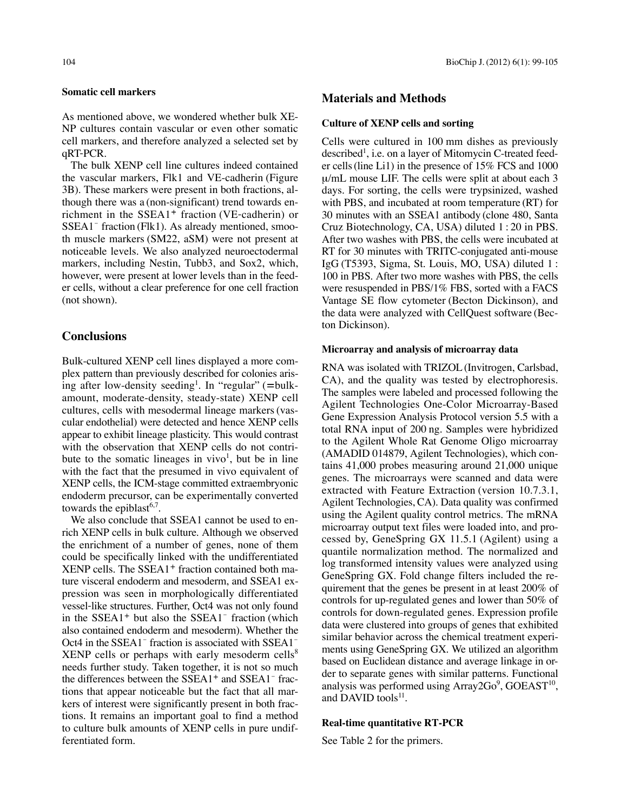#### **Somatic cell markers**

As mentioned above, we wondered whether bulk XE-NP cultures contain vascular or even other somatic cell markers, and therefore analyzed a selected set by qRT-PCR.

The bulk XENP cell line cultures indeed contained the vascular markers, Flk1 and VE-cadherin (Figure 3B). These markers were present in both fractions, although there was a (non-significant) trend towards enrichment in the SSEA1<sup>+</sup> fraction (VE-cadherin) or SSEA1<sup>-</sup> fraction (Flk1). As already mentioned, smooth muscle markers (SM22, aSM) were not present at noticeable levels. We also analyzed neuroectodermal markers, including Nestin, Tubb3, and Sox2, which, however, were present at lower levels than in the feeder cells, without a clear preference for one cell fraction (not shown).

# **Conclusions**

Bulk-cultured XENP cell lines displayed a more complex pattern than previously described for colonies arising after low-density seeding<sup>1</sup>. In "regular" (=bulkamount, moderate-density, steady-state) XENP cell cultures, cells with mesodermal lineage markers (vascular endothelial) were detected and hence XENP cells appear to exhibit lineage plasticity. This would contrast with the observation that XENP cells do not contribute to the somatic lineages in  $vivo<sup>1</sup>$ , but be in line with the fact that the presumed in vivo equivalent of XENP cells, the ICM-stage committed extraembryonic endoderm precursor, can be experimentally converted towards the epiblast<sup>6,7</sup>.

We also conclude that SSEA1 cannot be used to enrich XENP cells in bulk culture. Although we observed the enrichment of a number of genes, none of them could be specifically linked with the undifferentiated XENP cells. The SSEA1<sup>+</sup> fraction contained both mature visceral endoderm and mesoderm, and SSEA1 expression was seen in morphologically differentiated vessel-like structures. Further, Oct4 was not only found in the  $SSEA1<sup>+</sup>$  but also the  $SSEA1<sup>-</sup>$  fraction (which also contained endoderm and mesoderm). Whether the Oct4 in the SSEA1<sup>-</sup> fraction is associated with SSEA1<sup>-</sup> XENP cells or perhaps with early mesoderm cells $8$ needs further study. Taken together, it is not so much the differences between the SSEA1<sup>+</sup> and SSEA1<sup>-</sup> fractions that appear noticeable but the fact that all markers of interest were significantly present in both fractions. It remains an important goal to find a method to culture bulk amounts of XENP cells in pure undifferentiated form.

# **Materials and Methods**

#### **Culture of XENP cells and sorting**

Cells were cultured in 100 mm dishes as previously described<sup>1</sup>, i.e. on a layer of Mitomycin C-treated feeder cells (line Li1) in the presence of 15% FCS and 1000 μ/mL mouse LIF. The cells were split at about each 3 days. For sorting, the cells were trypsinized, washed with PBS, and incubated at room temperature (RT) for 30 minutes with an SSEA1 antibody (clone 480, Santa Cruz Biotechnology, CA, USA) diluted 1 : 20 in PBS. After two washes with PBS, the cells were incubated at RT for 30 minutes with TRITC-conjugated anti-mouse IgG (T5393, Sigma, St. Louis, MO, USA) diluted 1 : 100 in PBS. After two more washes with PBS, the cells were resuspended in PBS/1% FBS, sorted with a FACS Vantage SE flow cytometer (Becton Dickinson), and the data were analyzed with CellQuest software (Becton Dickinson).

#### **Microarray and analysis of microarray data**

RNA was isolated with TRIZOL (Invitrogen, Carlsbad, CA), and the quality was tested by electrophoresis. The samples were labeled and processed following the Agilent Technologies One-Color Microarray-Based Gene Expression Analysis Protocol version 5.5 with a total RNA input of 200 ng. Samples were hybridized to the Agilent Whole Rat Genome Oligo microarray (AMADID 014879, Agilent Technologies), which contains 41,000 probes measuring around 21,000 unique genes. The microarrays were scanned and data were extracted with Feature Extraction (version 10.7.3.1, Agilent Technologies, CA). Data quality was confirmed using the Agilent quality control metrics. The mRNA microarray output text files were loaded into, and processed by, GeneSpring GX 11.5.1 (Agilent) using a quantile normalization method. The normalized and log transformed intensity values were analyzed using GeneSpring GX. Fold change filters included the requirement that the genes be present in at least 200% of controls for up-regulated genes and lower than 50% of controls for down-regulated genes. Expression profile data were clustered into groups of genes that exhibited similar behavior across the chemical treatment experiments using GeneSpring GX. We utilized an algorithm based on Euclidean distance and average linkage in order to separate genes with similar patterns. Functional analysis was performed using Array2Go<sup>9</sup>, GOEAST<sup>10</sup>, and DAVID tools<sup>11</sup>.

#### **Real-time quantitative RT-PCR**

See Table 2 for the primers.